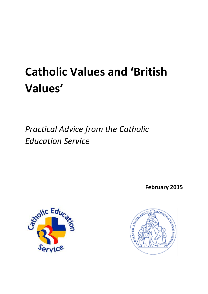# **Catholic Values and 'British Values'**

*Practical Advice from the Catholic Education Service*

**February 2015**



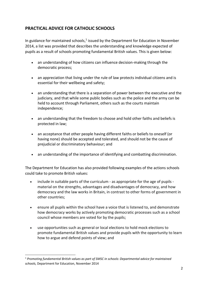# **PRACTICAL ADVICE FOR CATHOLIC SCHOOLS**

In guidance for maintained schools, $1$  issued by the Department for Education in November 2014, a list was provided that describes the understanding and knowledge expected of pupils as a result of schools promoting fundamental British values. This is given below:

- an understanding of how citizens can influence decision-making through the democratic process;
- an appreciation that living under the rule of law protects individual citizens and is essential for their wellbeing and safety;
- an understanding that there is a separation of power between the executive and the judiciary, and that while some public bodies such as the police and the army can be held to account through Parliament, others such as the courts maintain independence;
- an understanding that the freedom to choose and hold other faiths and beliefs is protected in law;
- an acceptance that other people having different faiths or beliefs to oneself (or having none) should be accepted and tolerated, and should not be the cause of prejudicial or discriminatory behaviour; and
- an understanding of the importance of identifying and combatting discrimination.

The Department for Education has also provided following examples of the actions schools could take to promote British values:

- include in suitable parts of the curriculum as appropriate for the age of pupils material on the strengths, advantages and disadvantages of democracy, and how democracy and the law works in Britain, in contrast to other forms of government in other countries;
- ensure all pupils within the school have a voice that is listened to, and demonstrate how democracy works by actively promoting democratic processes such as a school council whose members are voted for by the pupils;
- use opportunities such as general or local elections to hold mock elections to promote fundamental British values and provide pupils with the opportunity to learn how to argue and defend points of view; and

<sup>1</sup> *Promoting fundamental British values as part of SMSC in schools: Departmental advice for maintained schools,* Department for Education, November 2014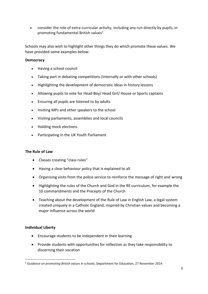consider the role of extra-curricular activity, including any run directly by pupils, in promoting fundamental British values<sup>2</sup>

Schools may also wish to highlight other things they do which promote these values. We have provided some examples below:

## **Democracy**

- Having a school council
- Taking part in debating competitions (internally or with other schools)
- Highlighting the development of democratic ideas in history lessons
- Allowing pupils to vote for Head Boy/ Head Girl/ House or Sports captains
- Ensuring all pupils are listened to by adults
- Inviting MPs and other speakers to the school
- Visiting parliaments, assemblies and local councils
- Holding mock elections
- Participating in the UK Youth Parliament

### **The Rule of Law**

- Classes creating "class rules"
- Having a clear behaviour policy that is explained to all
- Organising visits from the police service to reinforce the message of right and wrong
- Highlighting the rules of the Church and God in the RE curriculum, for example the 10 commandments and the Precepts of the Church
- Teaching about the development of the Rule of Law in English Law, a legal system created uniquely in a Catholic England, inspired by Christian values and becoming a major influence across the world

### **Individual Liberty**

- Encourage students to be independent in their learning
- Provide students with opportunities for reflection as they take responsibility to discerning their vocation

<sup>2</sup> *Guidance on promoting British values in schools*, Department for Education, 27 November 2014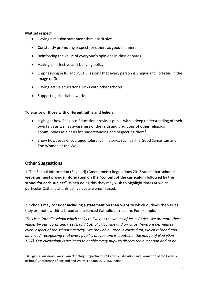#### **Mutual respect**

- Having a mission statement that is inclusive
- Constantly promoting respect for others as good manners
- Reinforcing the value of everyone's opinions in class debates
- Having an effective anti-bullying policy
- Emphasising in RE and PSCHE lessons that every person is unique and "created in the image of God"
- Having active educational links with other schools
- Supporting charitable works

### **Tolerance of those with different faiths and beliefs**

- Highlight how Religious Education provides pupils with a deep understanding of their own faith as well as awareness of the faith and traditions of other religious communities as a basis for understanding and respecting them<sup>3</sup>
- Show how Jesus encouraged tolerance in stories such as The Good Samaritan and The Women at the Well

# **Other Suggestions**

 $\overline{a}$ 

1. The School Information (England) (Amendment) Regulations 2012 states that **schools' websites must provide information on the "content of the curriculum followed by the school for each subject"**. When doing this they may wish to highlight times at which particular Catholic and British values are emphasised.

2. Schools may consider **including a statement on their website** which outlines the values they promote within a broad and balanced Catholic curriculum. For example,

*'This is a Catholic school which seeks to live out the values of Jesus Christ. We promote these values by our words and deeds, and Catholic doctrine and practice therefore permeates every aspect of the school's activity. We provide a Catholic curriculum, which is broad and balanced, recognising that every pupil is unique and is created in the image of God (Gen 1:27). Our curriculum is designed to enable every pupil to discern their vocation and to be* 

<sup>3</sup> *Religious Education Curriculum Directory*, Department of Catholic Education and Formation of the Catholic Bishops' Conference of England and Wales, London 2012, p.6, point 4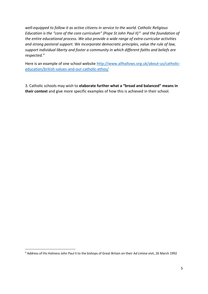*well-equipped to follow it as active citizens in service to the world. Catholic Religious Education is the "core of the core curriculum" (Pope St John Paul II)* <sup>4</sup> *and the foundation of the entire educational process. We also provide a wide range of extra-curricular activities and strong pastoral support. We incorporate democratic principles, value the rule of law, support individual liberty and foster a community in which different faiths and beliefs are respected."* 

Here is an example of one school website [http://www.allhallows.org.uk/about-us/catholic](http://www.allhallows.org.uk/about-us/catholic-education/british-values-and-our-catholic-ethos/)[education/british-values-and-our-catholic-ethos/](http://www.allhallows.org.uk/about-us/catholic-education/british-values-and-our-catholic-ethos/)

3. Catholic schools may wish to **elaborate further what a "broad and balanced" means in their context** and give more specific examples of how this is achieved in their school.

<sup>4</sup> Address of His Holiness John Paul II to the bishops of Great Britain on their *Ad Limina* visit, 26 March 1992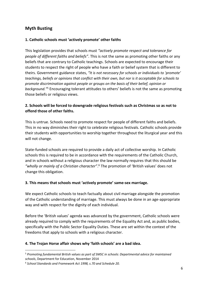# **Myth Busting**

## **1. Catholic schools must 'actively promote' other faiths**

This legislation provides that schools must *"actively promote respect and tolerance for people of different faiths and beliefs"*. This is not the same as promoting other faiths or any beliefs that are contrary to Catholic teachings. Schools are expected to encourage their students to respect the right of people who have a faith or belief system that is different to theirs. Government guidance states, *"It is not necessary for schools or individuals to 'promote' teachings, beliefs or opinions that conflict with their own, but nor is it acceptable for schools to promote discrimination against people or groups on the basis of their belief, opinion or background."* <sup>5</sup> Encouraging tolerant attitudes to others' beliefs is not the same as promoting those beliefs or religious views.

## **2. Schools will be forced to downgrade religious festivals such as Christmas so as not to offend those of other faiths.**

This is untrue. Schools need to promote respect for people of different faiths and beliefs. This in no way diminishes their right to celebrate religious festivals. Catholic schools provide their students with opportunities to worship together throughout the liturgical year and this will not change.

State-funded schools are required to provide a daily act of collective worship. In Catholic schools this is required to be in accordance with the requirements of the Catholic Church, and in schools without a religious character the law normally requires that this should be *"wholly or mainly of a Christian character"*. <sup>6</sup> The promotion of 'British values' does not change this obligation.

## **3. This means that schools must 'actively promote' same-sex marriage.**

We expect Catholic schools to teach factually about civil marriage alongside the promotion of the Catholic understanding of marriage. This must always be done in an age-appropriate way and with respect for the dignity of each individual.

Before the 'British values' agenda was advanced by the government, Catholic schools were already required to comply with the requirements of the Equality Act and, as public bodies, specifically with the Public Sector Equality Duties. These are set within the context of the freedoms that apply to schools with a religious character.

## **4. The Trojan Horse affair shows why 'faith schools' are a bad idea.**

<sup>5</sup> *Promoting fundamental British values as part of SMSC in schools: Departmental advice for maintained schools*, Department for Education, November 2014

<sup>6</sup> *School Standards and Framework Act 1998, s.70 and Schedule 20.*